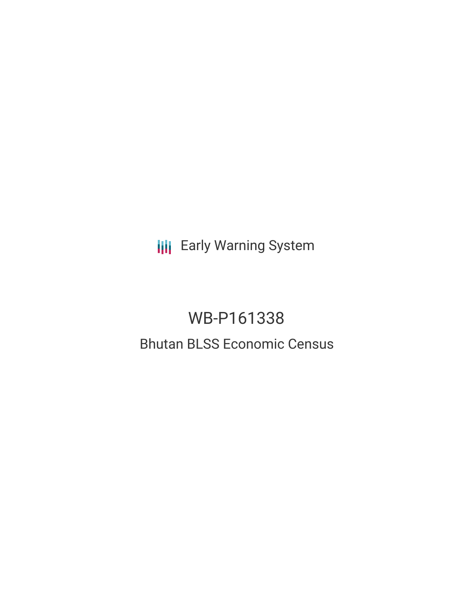**III** Early Warning System

# WB-P161338 Bhutan BLSS Economic Census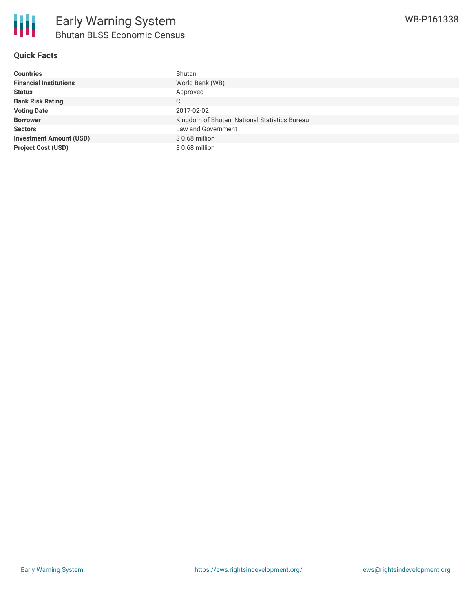

**Sectors** Law and Government **Investment Amount (USD)** \$ 0.68 million **Project Cost (USD)** \$ 0.68 million

| Countries                     | Bhutan                                        |
|-------------------------------|-----------------------------------------------|
| <b>Financial Institutions</b> | World Bank (WB)                               |
| Status                        | Approved                                      |
| <b>Bank Risk Rating</b>       | C                                             |
| <b>Voting Date</b>            | 2017-02-02                                    |
| <b>Borrower</b>               | Kingdom of Bhutan, National Statistics Bureau |

WB-P161338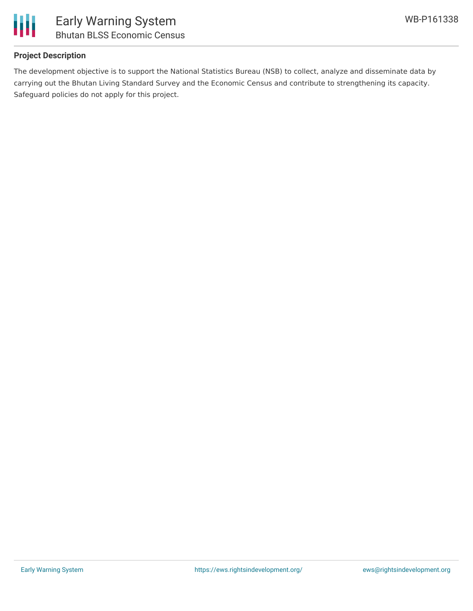

## **Project Description**

The development objective is to support the National Statistics Bureau (NSB) to collect, analyze and disseminate data by carrying out the Bhutan Living Standard Survey and the Economic Census and contribute to strengthening its capacity. Safeguard policies do not apply for this project.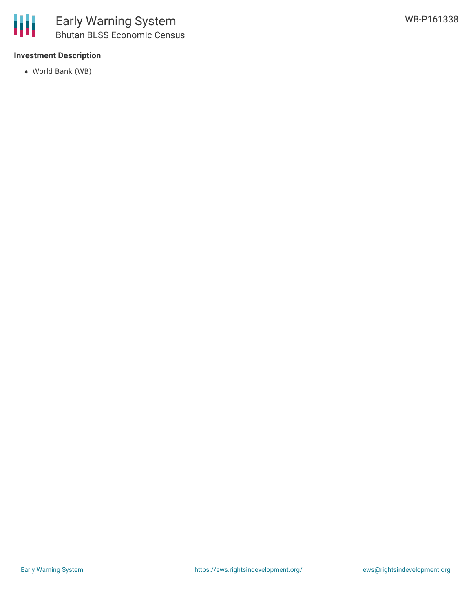## **Investment Description**

World Bank (WB)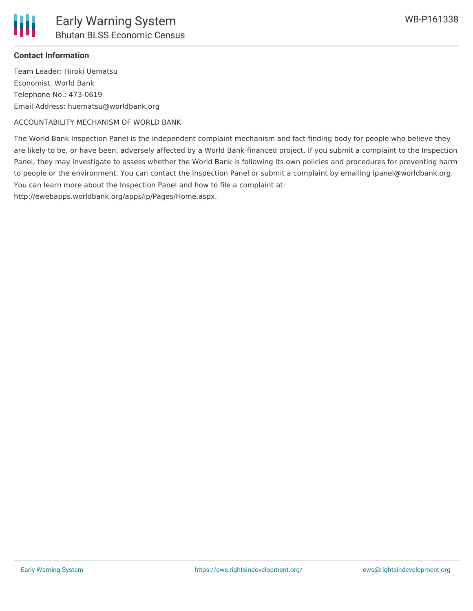

#### **Contact Information**

Team Leader: Hiroki Uematsu Economist, World Bank Telephone No.: 473-0619 Email Address: huematsu@worldbank.org

ACCOUNTABILITY MECHANISM OF WORLD BANK

The World Bank Inspection Panel is the independent complaint mechanism and fact-finding body for people who believe they are likely to be, or have been, adversely affected by a World Bank-financed project. If you submit a complaint to the Inspection Panel, they may investigate to assess whether the World Bank is following its own policies and procedures for preventing harm to people or the environment. You can contact the Inspection Panel or submit a complaint by emailing ipanel@worldbank.org. You can learn more about the Inspection Panel and how to file a complaint at:

http://ewebapps.worldbank.org/apps/ip/Pages/Home.aspx.